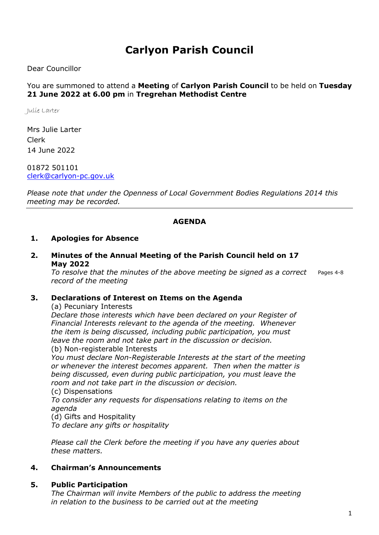# Carlyon Parish Council

Dear Councillor

#### You are summoned to attend a Meeting of Carlyon Parish Council to be held on Tuesday 21 June 2022 at 6.00 pm in Tregrehan Methodist Centre

Julie Larter

Mrs Julie Larter Clerk 14 June 2022

01872 501101 clerk@carlyon-pc.gov.uk

Please note that under the Openness of Local Government Bodies Regulations 2014 this meeting may be recorded.

#### AGENDA

#### 1. Apologies for Absence

2. Minutes of the Annual Meeting of the Parish Council held on 17 May 2022

To resolve that the minutes of the above meeting be signed as a correct record of the meeting Pages 4-8

#### 3. Declarations of Interest on Items on the Agenda

(a) Pecuniary Interests

Declare those interests which have been declared on your Register of Financial Interests relevant to the agenda of the meeting. Whenever the item is being discussed, including public participation, you must leave the room and not take part in the discussion or decision.

(b) Non-registerable Interests

You must declare Non-Registerable Interests at the start of the meeting or whenever the interest becomes apparent. Then when the matter is being discussed, even during public participation, you must leave the room and not take part in the discussion or decision.

(c) Dispensations

To consider any requests for dispensations relating to items on the agenda

(d) Gifts and Hospitality

To declare any gifts or hospitality

Please call the Clerk before the meeting if you have any queries about these matters.

#### 4. Chairman's Announcements

#### 5. Public Participation

The Chairman will invite Members of the public to address the meeting in relation to the business to be carried out at the meeting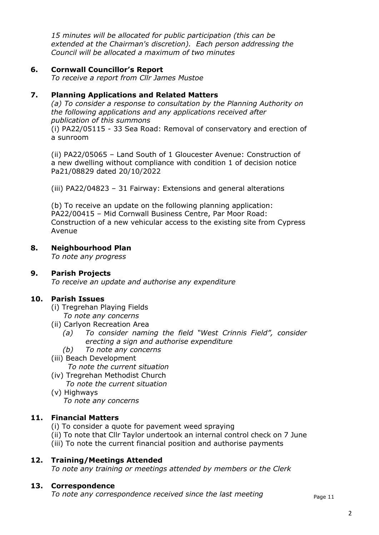15 minutes will be allocated for public participation (this can be extended at the Chairman's discretion). Each person addressing the Council will be allocated a maximum of two minutes

#### 6. Cornwall Councillor's Report

To receive a report from Cllr James Mustoe

# 7. Planning Applications and Related Matters

(a) To consider a response to consultation by the Planning Authority on the following applications and any applications received after publication of this summons

(i) PA22/05115 - 33 Sea Road: Removal of conservatory and erection of a sunroom

(ii) PA22/05065 – Land South of 1 Gloucester Avenue: Construction of a new dwelling without compliance with condition 1 of decision notice Pa21/08829 dated 20/10/2022

(iii) PA22/04823 – 31 Fairway: Extensions and general alterations

(b) To receive an update on the following planning application: PA22/00415 – Mid Cornwall Business Centre, Par Moor Road: Construction of a new vehicular access to the existing site from Cypress Avenue

#### 8. Neighbourhood Plan

To note any progress

#### 9. Parish Projects

To receive an update and authorise any expenditure

# 10. Parish Issues

- (i) Tregrehan Playing Fields
	- To note any concerns
- (ii) Carlyon Recreation Area
	- (a) To consider naming the field "West Crinnis Field", consider erecting a sign and authorise expenditure
	- (b) To note any concerns
- (iii) Beach Development

To note the current situation

- (iv) Tregrehan Methodist Church To note the current situation
- (v) Highways

To note any concerns

# 11. Financial Matters

- (i) To consider a quote for pavement weed spraying
- (ii) To note that Cllr Taylor undertook an internal control check on 7 June
- (iii) To note the current financial position and authorise payments

#### 12. Training/Meetings Attended

To note any training or meetings attended by members or the Clerk

#### 13. Correspondence

To note any correspondence received since the last meeting  $P_{\text{page 11}}$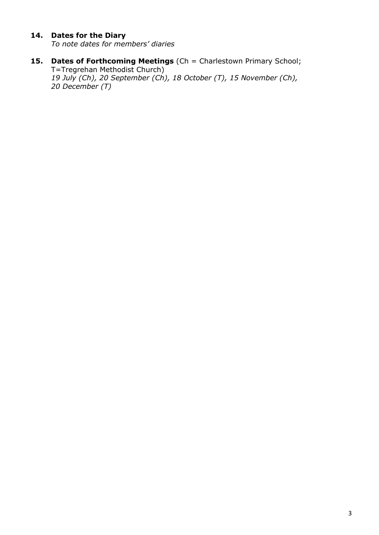# 14. Dates for the Diary

To note dates for members' diaries

- 15. Dates of Forthcoming Meetings (Ch = Charlestown Primary School; T=Tregrehan Methodist Church)
	- 19 July (Ch), 20 September (Ch), 18 October (T), 15 November (Ch), 20 December (T)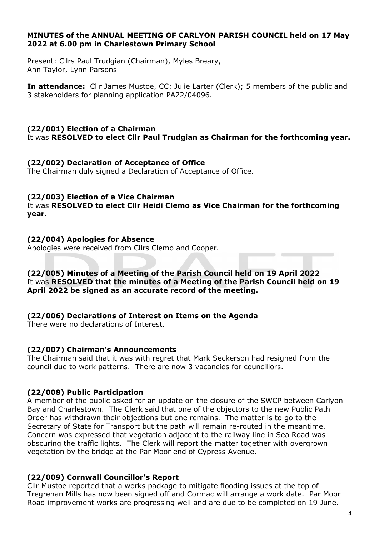#### MINUTES of the ANNUAL MEETING OF CARLYON PARISH COUNCIL held on 17 May 2022 at 6.00 pm in Charlestown Primary School

Present: Cllrs Paul Trudgian (Chairman), Myles Breary, Ann Taylor, Lynn Parsons

In attendance: Cllr James Mustoe, CC; Julie Larter (Clerk); 5 members of the public and 3 stakeholders for planning application PA22/04096.

# (22/001) Election of a Chairman

It was RESOLVED to elect Cllr Paul Trudgian as Chairman for the forthcoming year.

#### (22/002) Declaration of Acceptance of Office

The Chairman duly signed a Declaration of Acceptance of Office.

#### (22/003) Election of a Vice Chairman

It was RESOLVED to elect Cllr Heidi Clemo as Vice Chairman for the forthcoming year.

#### (22/004) Apologies for Absence

Apologies were received from Cllrs Clemo and Cooper.

#### (22/005) Minutes of a Meeting of the Parish Council held on 19 April 2022 It was RESOLVED that the minutes of a Meeting of the Parish Council held on 19 April 2022 be signed as an accurate record of the meeting.

#### (22/006) Declarations of Interest on Items on the Agenda

There were no declarations of Interest.

#### (22/007) Chairman's Announcements

The Chairman said that it was with regret that Mark Seckerson had resigned from the council due to work patterns. There are now 3 vacancies for councillors.

#### (22/008) Public Participation

A member of the public asked for an update on the closure of the SWCP between Carlyon Bay and Charlestown. The Clerk said that one of the objectors to the new Public Path Order has withdrawn their objections but one remains. The matter is to go to the Secretary of State for Transport but the path will remain re-routed in the meantime. Concern was expressed that vegetation adjacent to the railway line in Sea Road was obscuring the traffic lights. The Clerk will report the matter together with overgrown vegetation by the bridge at the Par Moor end of Cypress Avenue.

#### (22/009) Cornwall Councillor's Report

Cllr Mustoe reported that a works package to mitigate flooding issues at the top of Tregrehan Mills has now been signed off and Cormac will arrange a work date. Par Moor Road improvement works are progressing well and are due to be completed on 19 June.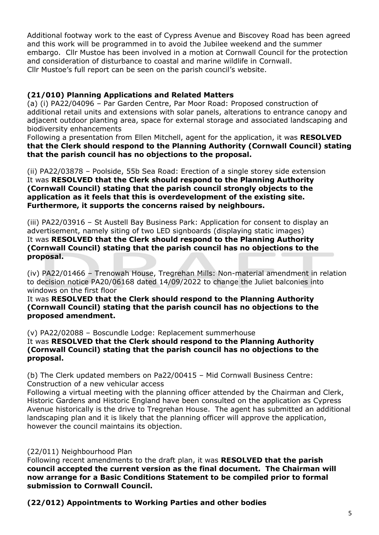Additional footway work to the east of Cypress Avenue and Biscovey Road has been agreed and this work will be programmed in to avoid the Jubilee weekend and the summer embargo. Cllr Mustoe has been involved in a motion at Cornwall Council for the protection and consideration of disturbance to coastal and marine wildlife in Cornwall. Cllr Mustoe's full report can be seen on the parish council's website.

# (21/010) Planning Applications and Related Matters

(a) (i) PA22/04096 – Par Garden Centre, Par Moor Road: Proposed construction of additional retail units and extensions with solar panels, alterations to entrance canopy and adjacent outdoor planting area, space for external storage and associated landscaping and biodiversity enhancements

Following a presentation from Ellen Mitchell, agent for the application, it was RESOLVED that the Clerk should respond to the Planning Authority (Cornwall Council) stating that the parish council has no objections to the proposal.

(ii) PA22/03878 – Poolside, 55b Sea Road: Erection of a single storey side extension It was RESOLVED that the Clerk should respond to the Planning Authority (Cornwall Council) stating that the parish council strongly objects to the application as it feels that this is overdevelopment of the existing site. Furthermore, it supports the concerns raised by neighbours.

(iii) PA22/03916 – St Austell Bay Business Park: Application for consent to display an advertisement, namely siting of two LED signboards (displaying static images) It was RESOLVED that the Clerk should respond to the Planning Authority (Cornwall Council) stating that the parish council has no objections to the proposal.

(iv) PA22/01466 – Trenowah House, Tregrehan Mills: Non-material amendment in relation to decision notice PA20/06168 dated 14/09/2022 to change the Juliet balconies into windows on the first floor

It was RESOLVED that the Clerk should respond to the Planning Authority (Cornwall Council) stating that the parish council has no objections to the proposed amendment.

(v) PA22/02088 – Boscundle Lodge: Replacement summerhouse

It was RESOLVED that the Clerk should respond to the Planning Authority (Cornwall Council) stating that the parish council has no objections to the proposal.

(b) The Clerk updated members on Pa22/00415 – Mid Cornwall Business Centre: Construction of a new vehicular access

Following a virtual meeting with the planning officer attended by the Chairman and Clerk, Historic Gardens and Historic England have been consulted on the application as Cypress Avenue historically is the drive to Tregrehan House. The agent has submitted an additional landscaping plan and it is likely that the planning officer will approve the application, however the council maintains its objection.

#### (22/011) Neighbourhood Plan

Following recent amendments to the draft plan, it was RESOLVED that the parish council accepted the current version as the final document. The Chairman will now arrange for a Basic Conditions Statement to be compiled prior to formal submission to Cornwall Council.

(22/012) Appointments to Working Parties and other bodies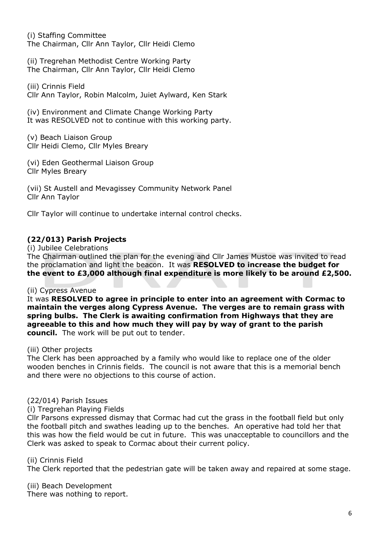(i) Staffing Committee The Chairman, Cllr Ann Taylor, Cllr Heidi Clemo

(ii) Tregrehan Methodist Centre Working Party The Chairman, Cllr Ann Taylor, Cllr Heidi Clemo

(iii) Crinnis Field Cllr Ann Taylor, Robin Malcolm, Juiet Aylward, Ken Stark

(iv) Environment and Climate Change Working Party It was RESOLVED not to continue with this working party.

(v) Beach Liaison Group Cllr Heidi Clemo, Cllr Myles Breary

(vi) Eden Geothermal Liaison Group Cllr Myles Breary

(vii) St Austell and Mevagissey Community Network Panel Cllr Ann Taylor

Cllr Taylor will continue to undertake internal control checks.

# (22/013) Parish Projects

(i) Jubilee Celebrations

The Chairman outlined the plan for the evening and Cllr James Mustoe was invited to read the proclamation and light the beacon. It was RESOLVED to increase the budget for the event to £3,000 although final expenditure is more likely to be around £2,500.

#### (ii) Cypress Avenue

It was RESOLVED to agree in principle to enter into an agreement with Cormac to maintain the verges along Cypress Avenue. The verges are to remain grass with spring bulbs. The Clerk is awaiting confirmation from Highways that they are agreeable to this and how much they will pay by way of grant to the parish council. The work will be put out to tender.

#### (iii) Other projects

The Clerk has been approached by a family who would like to replace one of the older wooden benches in Crinnis fields. The council is not aware that this is a memorial bench and there were no objections to this course of action.

#### (22/014) Parish Issues

#### (i) Tregrehan Playing Fields

Cllr Parsons expressed dismay that Cormac had cut the grass in the football field but only the football pitch and swathes leading up to the benches. An operative had told her that this was how the field would be cut in future. This was unacceptable to councillors and the Clerk was asked to speak to Cormac about their current policy.

#### (ii) Crinnis Field

The Clerk reported that the pedestrian gate will be taken away and repaired at some stage.

(iii) Beach Development

There was nothing to report.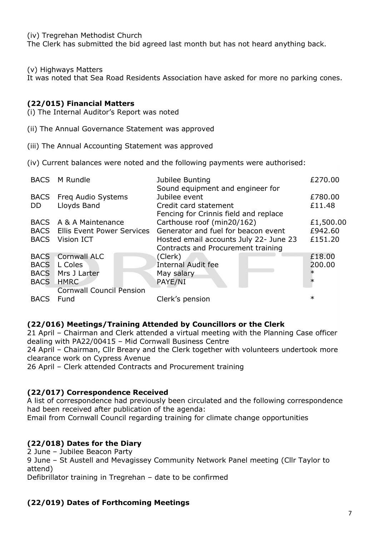(iv) Tregrehan Methodist Church

The Clerk has submitted the bid agreed last month but has not heard anything back.

#### (v) Highways Matters

It was noted that Sea Road Residents Association have asked for more no parking cones.

#### (22/015) Financial Matters

- (i) The Internal Auditor's Report was noted
- (ii) The Annual Governance Statement was approved
- (iii) The Annual Accounting Statement was approved
- (iv) Current balances were noted and the following payments were authorised:

| <b>BACS</b> | M Rundle                          | Jubilee Bunting<br>Sound equipment and engineer for            | £270.00   |
|-------------|-----------------------------------|----------------------------------------------------------------|-----------|
| <b>BACS</b> | Freq Audio Systems                | Jubilee event                                                  | £780.00   |
| <b>DD</b>   | Lloyds Band                       | Credit card statement<br>Fencing for Crinnis field and replace | £11.48    |
|             | BACS A & A Maintenance            | Carthouse roof (min20/162)                                     | £1,500.00 |
| <b>BACS</b> | <b>Ellis Event Power Services</b> | Generator and fuel for beacon event                            | £942.60   |
| <b>BACS</b> | Vision ICT                        | Hosted email accounts July 22- June 23                         | £151.20   |
|             |                                   | Contracts and Procurement training                             |           |
| <b>BACS</b> | <b>Cornwall ALC</b>               | (Clerk)                                                        | £18.00    |
| <b>BACS</b> | L Coles                           | <b>Internal Audit fee</b>                                      | 200.00    |
| <b>BACS</b> | Mrs J Larter                      | May salary                                                     | $\ast$    |
| BACS HMRC   |                                   | PAYE/NI                                                        | $\ast$    |
|             | <b>Cornwall Council Pension</b>   |                                                                |           |
| <b>BACS</b> | Fund                              | Clerk's pension                                                | $\ast$    |

#### (22/016) Meetings/Training Attended by Councillors or the Clerk

21 April – Chairman and Clerk attended a virtual meeting with the Planning Case officer dealing with PA22/00415 – Mid Cornwall Business Centre

24 April – Chairman, Cllr Breary and the Clerk together with volunteers undertook more clearance work on Cypress Avenue

26 April – Clerk attended Contracts and Procurement training

# (22/017) Correspondence Received

A list of correspondence had previously been circulated and the following correspondence had been received after publication of the agenda:

Email from Cornwall Council regarding training for climate change opportunities

# (22/018) Dates for the Diary

2 June – Jubilee Beacon Party

9 June – St Austell and Mevagissey Community Network Panel meeting (Cllr Taylor to attend)

Defibrillator training in Tregrehan – date to be confirmed

# (22/019) Dates of Forthcoming Meetings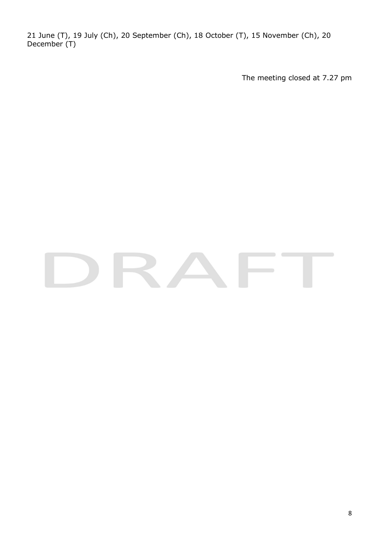21 June (T), 19 July (Ch), 20 September (Ch), 18 October (T), 15 November (Ch), 20 December (T)

The meeting closed at 7.27 pm

# RA  $\sqrt{2}$  $\sim$   $\sim$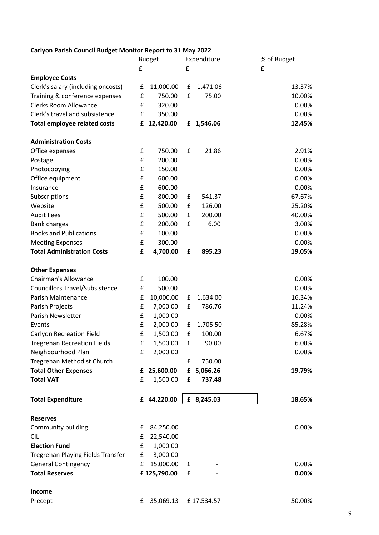# Carlyon Parish Council Budget Monitor Report to 31 May 2022

|                                       |   | <b>Budget</b> |   | Expenditure | % of Budget |
|---------------------------------------|---|---------------|---|-------------|-------------|
|                                       | £ |               | £ |             | £           |
| <b>Employee Costs</b>                 |   |               |   |             |             |
| Clerk's salary (including oncosts)    | £ | 11,000.00     | £ | 1,471.06    | 13.37%      |
| Training & conference expenses        | £ | 750.00        | £ | 75.00       | 10.00%      |
| <b>Clerks Room Allowance</b>          | £ | 320.00        |   |             | 0.00%       |
| Clerk's travel and subsistence        | £ | 350.00        |   |             | 0.00%       |
| <b>Total employee related costs</b>   | £ | 12,420.00     |   | £ 1,546.06  | 12.45%      |
| <b>Administration Costs</b>           |   |               |   |             |             |
| Office expenses                       | £ | 750.00        | £ | 21.86       | 2.91%       |
| Postage                               | £ | 200.00        |   |             | 0.00%       |
| Photocopying                          | £ | 150.00        |   |             | 0.00%       |
| Office equipment                      | £ | 600.00        |   |             | 0.00%       |
| Insurance                             | £ | 600.00        |   |             | 0.00%       |
| Subscriptions                         | £ | 800.00        | £ | 541.37      | 67.67%      |
| Website                               | £ | 500.00        | £ | 126.00      | 25.20%      |
| <b>Audit Fees</b>                     | £ | 500.00        | £ | 200.00      | 40.00%      |
| <b>Bank charges</b>                   | £ | 200.00        | £ | 6.00        | 3.00%       |
| <b>Books and Publications</b>         | £ | 100.00        |   |             | 0.00%       |
| <b>Meeting Expenses</b>               | £ | 300.00        |   |             | 0.00%       |
| <b>Total Administration Costs</b>     | £ | 4,700.00      | £ | 895.23      | 19.05%      |
| <b>Other Expenses</b>                 |   |               |   |             |             |
| <b>Chairman's Allowance</b>           | £ | 100.00        |   |             | 0.00%       |
| <b>Councillors Travel/Subsistence</b> | £ | 500.00        |   |             | 0.00%       |
| Parish Maintenance                    | £ | 10,000.00     | £ | 1,634.00    | 16.34%      |
| Parish Projects                       | £ | 7,000.00      | £ | 786.76      | 11.24%      |
| Parish Newsletter                     | £ | 1,000.00      |   |             | 0.00%       |
| Events                                | £ | 2,000.00      | £ | 1,705.50    | 85.28%      |
| <b>Carlyon Recreation Field</b>       | £ | 1,500.00      | £ | 100.00      | 6.67%       |
| <b>Tregrehan Recreation Fields</b>    | £ | 1,500.00      | £ | 90.00       | 6.00%       |
| Neighbourhood Plan                    | £ | 2,000.00      |   |             | 0.00%       |
| Tregrehan Methodist Church            |   |               | £ | 750.00      |             |
| <b>Total Other Expenses</b>           | £ | 25,600.00     | £ | 5,066.26    | 19.79%      |
| <b>Total VAT</b>                      | £ | 1,500.00      | £ | 737.48      |             |
| <b>Total Expenditure</b>              |   | £ 44,220.00   |   | £ 8,245.03  | 18.65%      |
|                                       |   |               |   |             |             |
| <b>Reserves</b>                       |   |               |   |             |             |
| Community building                    | £ | 84,250.00     |   |             | 0.00%       |
| <b>CIL</b>                            | £ | 22,540.00     |   |             |             |
| <b>Election Fund</b>                  | £ | 1,000.00      |   |             |             |
| Tregrehan Playing Fields Transfer     | £ | 3,000.00      |   |             |             |
| <b>General Contingency</b>            | £ | 15,000.00     | £ |             | $0.00\%$    |
| <b>Total Reserves</b>                 |   | £125,790.00   | £ |             | 0.00%       |
| Income                                |   |               |   |             |             |
| Precept                               | £ | 35,069.13     |   | £17,534.57  | 50.00%      |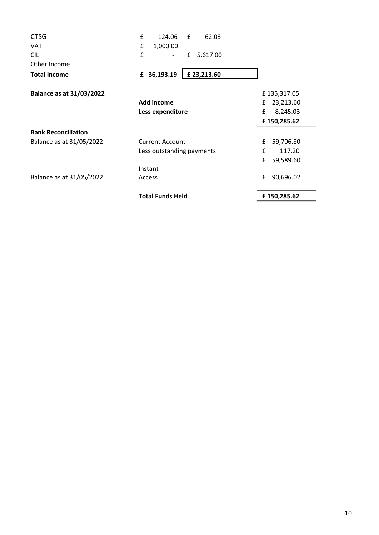| <b>CTSG</b>                     | £<br>124.06<br>£<br>62.03 |                |
|---------------------------------|---------------------------|----------------|
| <b>VAT</b>                      | £<br>1,000.00             |                |
| <b>CIL</b>                      | £<br>£<br>5,617.00        |                |
| Other Income                    |                           |                |
| <b>Total Income</b>             | £23,213.60<br>£ 36,193.19 |                |
| <b>Balance as at 31/03/2022</b> |                           | £135,317.05    |
|                                 | Add income                | 23,213.60<br>£ |
|                                 | Less expenditure          | 8,245.03<br>£  |
|                                 |                           | £150,285.62    |
| <b>Bank Reconciliation</b>      |                           |                |
| Balance as at 31/05/2022        | <b>Current Account</b>    | 59,706.80<br>£ |
|                                 | Less outstanding payments | 117.20<br>£    |
|                                 |                           | £<br>59,589.60 |
|                                 | Instant                   |                |
| Balance as at 31/05/2022        | Access                    | 90,696.02<br>£ |
|                                 | <b>Total Funds Held</b>   | £150,285.62    |